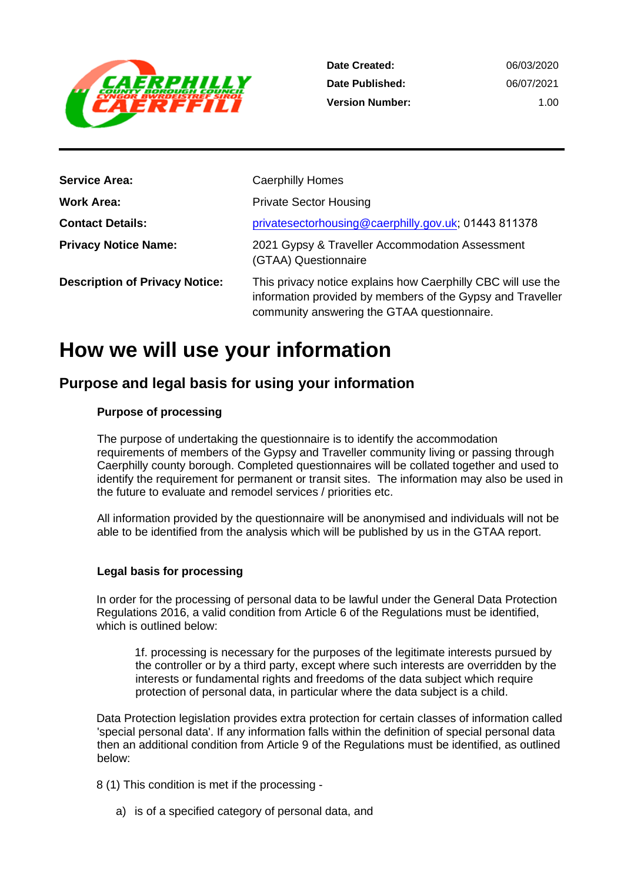

1.00

| <b>Service Area:</b>                  | <b>Caerphilly Homes</b>                                                                                                                                                   |
|---------------------------------------|---------------------------------------------------------------------------------------------------------------------------------------------------------------------------|
| <b>Work Area:</b>                     | <b>Private Sector Housing</b>                                                                                                                                             |
| <b>Contact Details:</b>               | privatesectorhousing@caerphilly.gov.uk; 01443 811378                                                                                                                      |
| <b>Privacy Notice Name:</b>           | 2021 Gypsy & Traveller Accommodation Assessment<br>(GTAA) Questionnaire                                                                                                   |
| <b>Description of Privacy Notice:</b> | This privacy notice explains how Caerphilly CBC will use the<br>information provided by members of the Gypsy and Traveller<br>community answering the GTAA questionnaire. |

## **How we will use your information**

## **Purpose and legal basis for using your information**

#### **Purpose of processing**

The purpose of undertaking the questionnaire is to identify the accommodation requirements of members of the Gypsy and Traveller community living or passing through Caerphilly county borough. Completed questionnaires will be collated together and used to identify the requirement for permanent or transit sites. The information may also be used in the future to evaluate and remodel services / priorities etc.

All information provided by the questionnaire will be anonymised and individuals will not be able to be identified from the analysis which will be published by us in the GTAA report.

#### **Legal basis for processing**

In order for the processing of personal data to be lawful under the General Data Protection Regulations 2016, a valid condition from Article 6 of the Regulations must be identified, which is outlined below:

1f. processing is necessary for the purposes of the legitimate interests pursued by the controller or by a third party, except where such interests are overridden by the interests or fundamental rights and freedoms of the data subject which require protection of personal data, in particular where the data subject is a child.

Data Protection legislation provides extra protection for certain classes of information called 'special personal data'. If any information falls within the definition of special personal data then an additional condition from Article 9 of the Regulations must be identified, as outlined below:

8 (1) This condition is met if the processing -

a) is of a specified category of personal data, and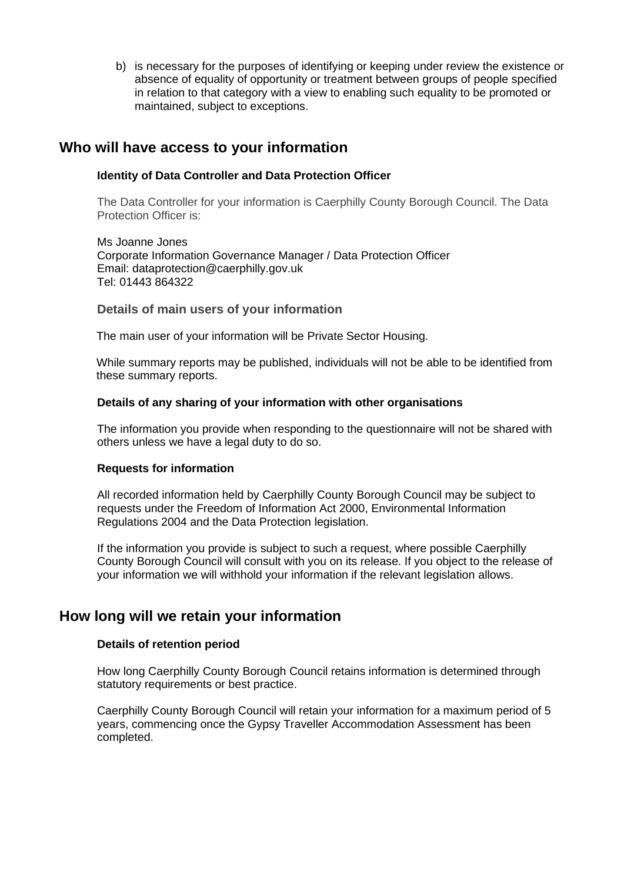b) is necessary for the purposes of identifying or keeping under review the existence or absence of equality of opportunity or treatment between groups of people specified in relation to that category with a view to enabling such equality to be promoted or maintained, subject to exceptions.

### **Who will have access to your information**

#### **Identity of Data Controller and Data Protection Officer**

The Data Controller for your information is Caerphilly County Borough Council. The Data Protection Officer is:

Ms Joanne Jones Corporate Information Governance Manager / Data Protection Officer Email: dataprotection@caerphilly.gov.uk Tel: 01443 864322

#### **Details of main users of your information**

The main user of your information will be Private Sector Housing.

While summary reports may be published, individuals will not be able to be identified from these summary reports.

#### **Details of any sharing of your information with other organisations**

The information you provide when responding to the questionnaire will not be shared with others unless we have a legal duty to do so.

#### **Requests for information**

All recorded information held by Caerphilly County Borough Council may be subject to requests under the Freedom of Information Act 2000, Environmental Information Regulations 2004 and the Data Protection legislation.

If the information you provide is subject to such a request, where possible Caerphilly County Borough Council will consult with you on its release. If you object to the release of your information we will withhold your information if the relevant legislation allows.

#### **How long will we retain your information**

#### **Details of retention period**

How long Caerphilly County Borough Council retains information is determined through statutory requirements or best practice.

Caerphilly County Borough Council will retain your information for a maximum period of 5 years, commencing once the Gypsy Traveller Accommodation Assessment has been completed.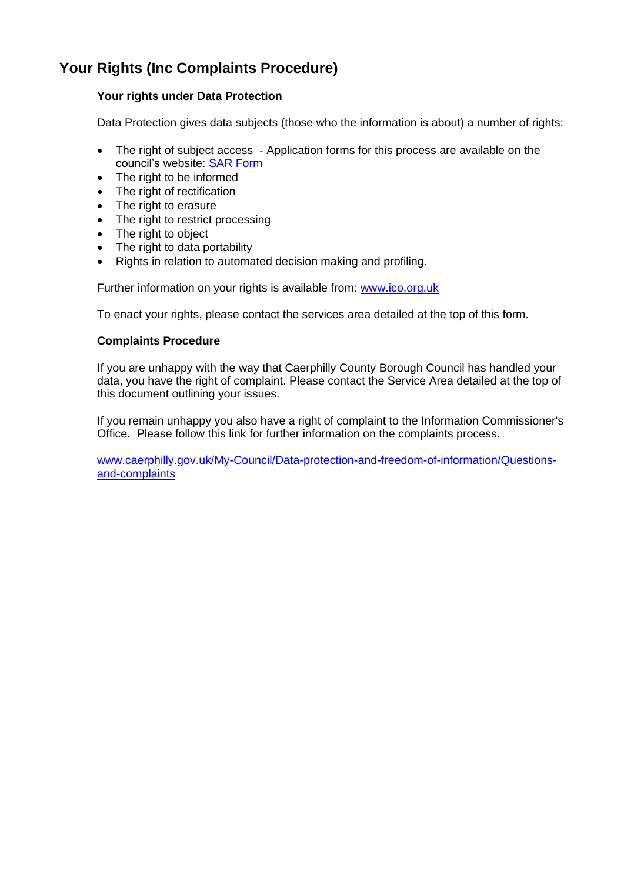## **Your Rights (Inc Complaints Procedure)**

#### **Your rights under Data Protection**

Data Protection gives data subjects (those who the information is about) a number of rights:

- The right of subject access Application forms for this process are available on the council's website: [SAR Form](http://www.caerphilly.gov.uk/CaerphillyDocs/Council-and-democracy/sar_form.aspx)
- The right to be informed
- The right of rectification
- The right to erasure
- The right to restrict processing
- The right to object
- The right to data portability
- Rights in relation to automated decision making and profiling.

Further information on your rights is available from: [www.ico.org.uk](http://www.ico.org.uk/)

To enact your rights, please contact the services area detailed at the top of this form.

#### **Complaints Procedure**

If you are unhappy with the way that Caerphilly County Borough Council has handled your data, you have the right of complaint. Please contact the Service Area detailed at the top of this document outlining your issues.

If you remain unhappy you also have a right of complaint to the Information Commissioner's Office. Please follow this link for further information on the complaints process.

[www.caerphilly.gov.uk/My-Council/Data-protection-and-freedom-of-information/Questions](http://www.caerphilly.gov.uk/My-Council/Data-protection-and-freedom-of-information/Questions-and-complaints)[and-complaints](http://www.caerphilly.gov.uk/My-Council/Data-protection-and-freedom-of-information/Questions-and-complaints)